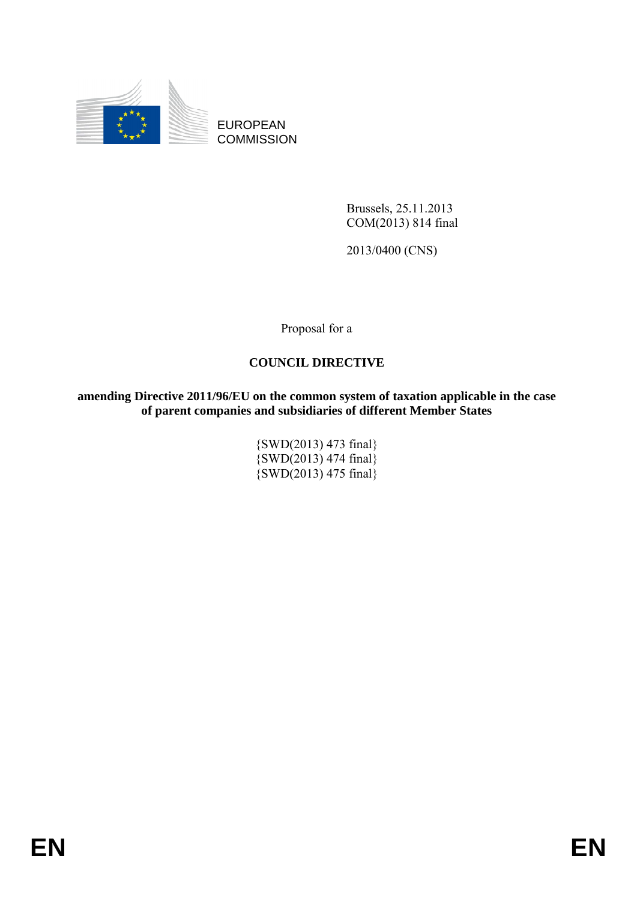

EUROPEAN **COMMISSION** 

> Brussels, 25.11.2013 COM(2013) 814 final

2013/0400 (CNS)

Proposal for a

# **COUNCIL DIRECTIVE**

**amending Directive 2011/96/EU on the common system of taxation applicable in the case of parent companies and subsidiaries of different Member States** 

> {SWD(2013) 473 final}  $\{SWD(2013)$  474 final $\}$  $\{SWD(2013)$  475 final $\}$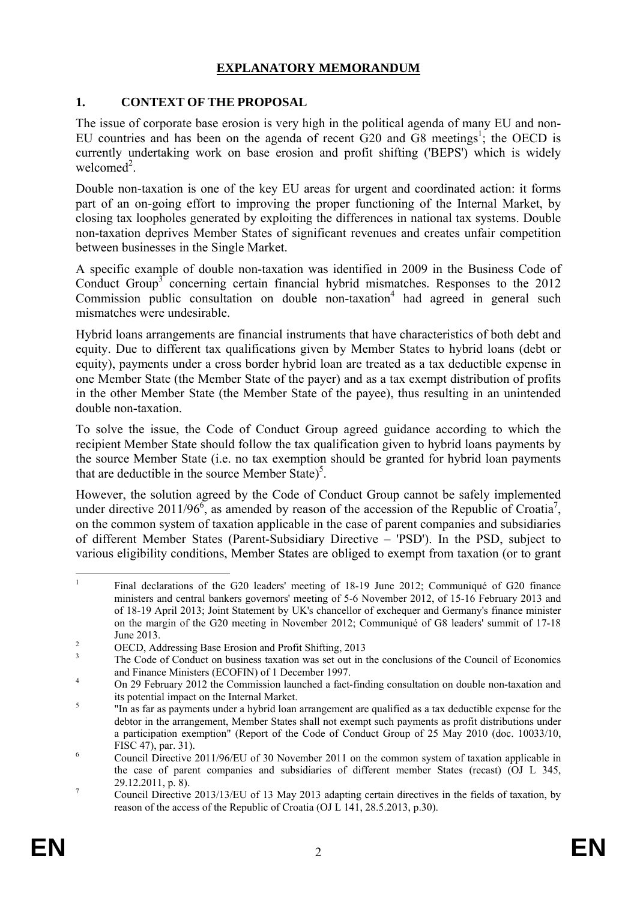# **EXPLANATORY MEMORANDUM**

# **1. CONTEXT OF THE PROPOSAL**

The issue of corporate base erosion is very high in the political agenda of many EU and non-EU countries and has been on the agenda of recent  $G20$  and  $G8$  meetings<sup>1</sup>; the OECD is currently undertaking work on base erosion and profit shifting ('BEPS') which is widely welcomed<sup>2</sup>.

Double non-taxation is one of the key EU areas for urgent and coordinated action: it forms part of an on-going effort to improving the proper functioning of the Internal Market, by closing tax loopholes generated by exploiting the differences in national tax systems. Double non-taxation deprives Member States of significant revenues and creates unfair competition between businesses in the Single Market.

A specific example of double non-taxation was identified in 2009 in the Business Code of Conduct Group<sup>3</sup> concerning certain financial hybrid mismatches. Responses to the  $2012$ Commission public consultation on double non-taxation<sup>4</sup> had agreed in general such mismatches were undesirable.

Hybrid loans arrangements are financial instruments that have characteristics of both debt and equity. Due to different tax qualifications given by Member States to hybrid loans (debt or equity), payments under a cross border hybrid loan are treated as a tax deductible expense in one Member State (the Member State of the payer) and as a tax exempt distribution of profits in the other Member State (the Member State of the payee), thus resulting in an unintended double non-taxation.

To solve the issue, the Code of Conduct Group agreed guidance according to which the recipient Member State should follow the tax qualification given to hybrid loans payments by the source Member State (i.e. no tax exemption should be granted for hybrid loan payments that are deductible in the source Member State) $5$ .

However, the solution agreed by the Code of Conduct Group cannot be safely implemented under directive 2011/96, as amended by reason of the accession of the Republic of Croatia<sup>7</sup>, on the common system of taxation applicable in the case of parent companies and subsidiaries of different Member States (Parent-Subsidiary Directive – 'PSD'). In the PSD, subject to various eligibility conditions, Member States are obliged to exempt from taxation (or to grant

 $\frac{1}{1}$  Final declarations of the G20 leaders' meeting of 18-19 June 2012; Communiqué of G20 finance ministers and central bankers governors' meeting of 5-6 November 2012, of 15-16 February 2013 and of 18-19 April 2013; Joint Statement by UK's chancellor of exchequer and Germany's finance minister on the margin of the G20 meeting in November 2012; Communiqué of G8 leaders' summit of 17-18  $\frac{\text{June } 2013.}{\text{On } 2013.}$ 

OECD, Addressing Base Erosion and Profit Shifting, 2013

<sup>3</sup> The Code of Conduct on business taxation was set out in the conclusions of the Council of Economics and Finance Ministers (ECOFIN) of 1 December 1997.

On 29 February 2012 the Commission launched a fact-finding consultation on double non-taxation and its potential impact on the Internal Market.

 <sup>&</sup>quot;In as far as payments under a hybrid loan arrangement are qualified as a tax deductible expense for the debtor in the arrangement, Member States shall not exempt such payments as profit distributions under a participation exemption" (Report of the Code of Conduct Group of 25 May 2010 (doc. 10033/10, FISC 47), par. 31).

Council Directive 2011/96/EU of 30 November 2011 on the common system of taxation applicable in the case of parent companies and subsidiaries of different member States (recast) (OJ L 345,  $29.12.2011, p. 8$ ).

Council Directive 2013/13/EU of 13 May 2013 adapting certain directives in the fields of taxation, by reason of the access of the Republic of Croatia (OJ L 141, 28.5.2013, p.30).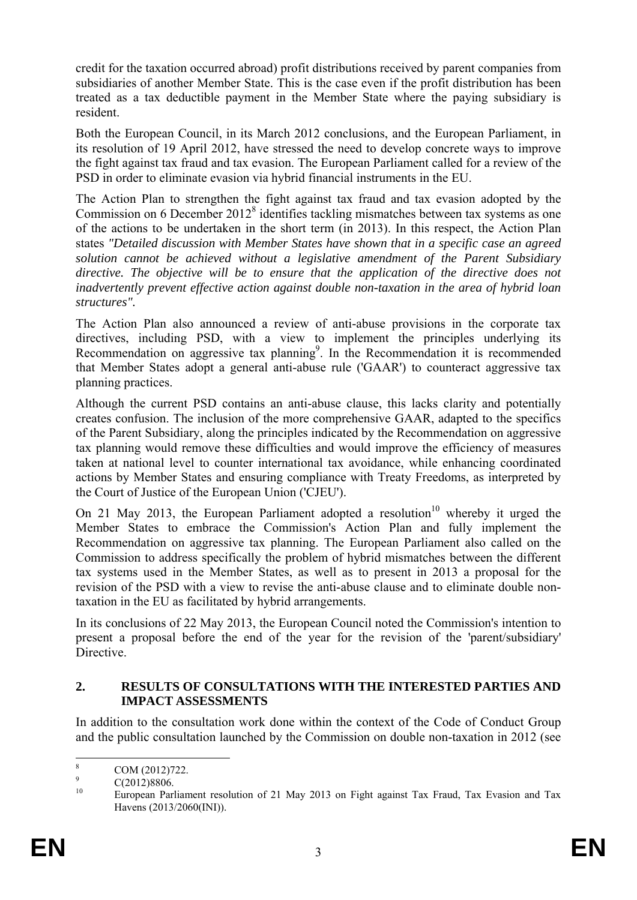credit for the taxation occurred abroad) profit distributions received by parent companies from subsidiaries of another Member State. This is the case even if the profit distribution has been treated as a tax deductible payment in the Member State where the paying subsidiary is resident.

Both the European Council, in its March 2012 conclusions, and the European Parliament, in its resolution of 19 April 2012, have stressed the need to develop concrete ways to improve the fight against tax fraud and tax evasion. The European Parliament called for a review of the PSD in order to eliminate evasion via hybrid financial instruments in the EU.

The Action Plan to strengthen the fight against tax fraud and tax evasion adopted by the Commission on 6 December 2012<sup>8</sup> identifies tackling mismatches between tax systems as one of the actions to be undertaken in the short term (in 2013). In this respect, the Action Plan states *"Detailed discussion with Member States have shown that in a specific case an agreed solution cannot be achieved without a legislative amendment of the Parent Subsidiary directive. The objective will be to ensure that the application of the directive does not inadvertently prevent effective action against double non-taxation in the area of hybrid loan structures".* 

The Action Plan also announced a review of anti-abuse provisions in the corporate tax directives, including PSD, with a view to implement the principles underlying its Recommendation on aggressive tax planning<sup>9</sup>. In the Recommendation it is recommended that Member States adopt a general anti-abuse rule ('GAAR') to counteract aggressive tax planning practices.

Although the current PSD contains an anti-abuse clause, this lacks clarity and potentially creates confusion. The inclusion of the more comprehensive GAAR, adapted to the specifics of the Parent Subsidiary, along the principles indicated by the Recommendation on aggressive tax planning would remove these difficulties and would improve the efficiency of measures taken at national level to counter international tax avoidance, while enhancing coordinated actions by Member States and ensuring compliance with Treaty Freedoms, as interpreted by the Court of Justice of the European Union ('CJEU').

On 21 May 2013, the European Parliament adopted a resolution<sup>10</sup> whereby it urged the Member States to embrace the Commission's Action Plan and fully implement the Recommendation on aggressive tax planning. The European Parliament also called on the Commission to address specifically the problem of hybrid mismatches between the different tax systems used in the Member States, as well as to present in 2013 a proposal for the revision of the PSD with a view to revise the anti-abuse clause and to eliminate double nontaxation in the EU as facilitated by hybrid arrangements.

In its conclusions of 22 May 2013, the European Council noted the Commission's intention to present a proposal before the end of the year for the revision of the 'parent/subsidiary' **Directive** 

# **2. RESULTS OF CONSULTATIONS WITH THE INTERESTED PARTIES AND IMPACT ASSESSMENTS**

In addition to the consultation work done within the context of the Code of Conduct Group and the public consultation launched by the Commission on double non-taxation in 2012 (see

 $\frac{1}{8}$ COM (2012)722.

<sup>9</sup>  $\frac{9}{10}$  C(2012)8806.

<sup>10</sup> European Parliament resolution of 21 May 2013 on Fight against Tax Fraud, Tax Evasion and Tax Havens (2013/2060(INI)).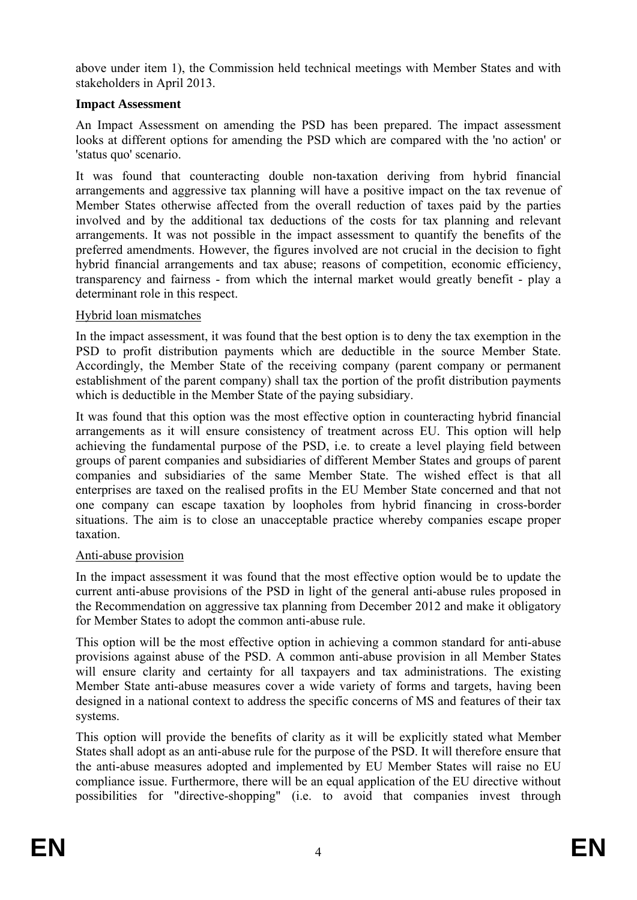above under item 1), the Commission held technical meetings with Member States and with stakeholders in April 2013.

# **Impact Assessment**

An Impact Assessment on amending the PSD has been prepared. The impact assessment looks at different options for amending the PSD which are compared with the 'no action' or 'status quo' scenario.

It was found that counteracting double non-taxation deriving from hybrid financial arrangements and aggressive tax planning will have a positive impact on the tax revenue of Member States otherwise affected from the overall reduction of taxes paid by the parties involved and by the additional tax deductions of the costs for tax planning and relevant arrangements. It was not possible in the impact assessment to quantify the benefits of the preferred amendments. However, the figures involved are not crucial in the decision to fight hybrid financial arrangements and tax abuse; reasons of competition, economic efficiency, transparency and fairness - from which the internal market would greatly benefit - play a determinant role in this respect.

### Hybrid loan mismatches

In the impact assessment, it was found that the best option is to deny the tax exemption in the PSD to profit distribution payments which are deductible in the source Member State. Accordingly, the Member State of the receiving company (parent company or permanent establishment of the parent company) shall tax the portion of the profit distribution payments which is deductible in the Member State of the paying subsidiary.

It was found that this option was the most effective option in counteracting hybrid financial arrangements as it will ensure consistency of treatment across EU. This option will help achieving the fundamental purpose of the PSD, i.e. to create a level playing field between groups of parent companies and subsidiaries of different Member States and groups of parent companies and subsidiaries of the same Member State. The wished effect is that all enterprises are taxed on the realised profits in the EU Member State concerned and that not one company can escape taxation by loopholes from hybrid financing in cross-border situations. The aim is to close an unacceptable practice whereby companies escape proper taxation.

# Anti-abuse provision

In the impact assessment it was found that the most effective option would be to update the current anti-abuse provisions of the PSD in light of the general anti-abuse rules proposed in the Recommendation on aggressive tax planning from December 2012 and make it obligatory for Member States to adopt the common anti-abuse rule.

This option will be the most effective option in achieving a common standard for anti-abuse provisions against abuse of the PSD. A common anti-abuse provision in all Member States will ensure clarity and certainty for all taxpayers and tax administrations. The existing Member State anti-abuse measures cover a wide variety of forms and targets, having been designed in a national context to address the specific concerns of MS and features of their tax systems.

This option will provide the benefits of clarity as it will be explicitly stated what Member States shall adopt as an anti-abuse rule for the purpose of the PSD. It will therefore ensure that the anti-abuse measures adopted and implemented by EU Member States will raise no EU compliance issue. Furthermore, there will be an equal application of the EU directive without possibilities for "directive-shopping" (i.e. to avoid that companies invest through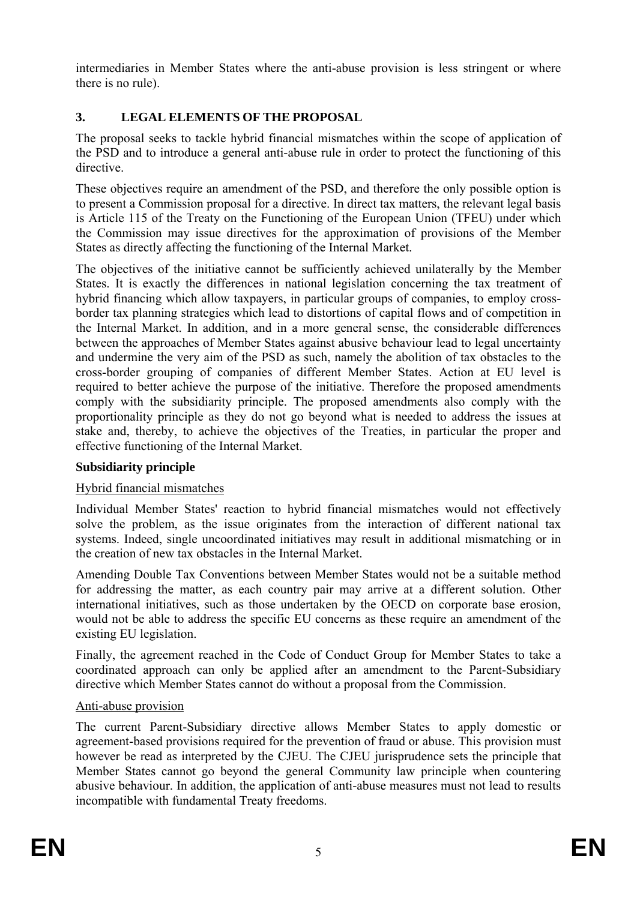intermediaries in Member States where the anti-abuse provision is less stringent or where there is no rule).

# **3. LEGAL ELEMENTS OF THE PROPOSAL**

The proposal seeks to tackle hybrid financial mismatches within the scope of application of the PSD and to introduce a general anti-abuse rule in order to protect the functioning of this directive.

These objectives require an amendment of the PSD, and therefore the only possible option is to present a Commission proposal for a directive. In direct tax matters, the relevant legal basis is Article 115 of the Treaty on the Functioning of the European Union (TFEU) under which the Commission may issue directives for the approximation of provisions of the Member States as directly affecting the functioning of the Internal Market.

The objectives of the initiative cannot be sufficiently achieved unilaterally by the Member States. It is exactly the differences in national legislation concerning the tax treatment of hybrid financing which allow taxpayers, in particular groups of companies, to employ crossborder tax planning strategies which lead to distortions of capital flows and of competition in the Internal Market. In addition, and in a more general sense, the considerable differences between the approaches of Member States against abusive behaviour lead to legal uncertainty and undermine the very aim of the PSD as such, namely the abolition of tax obstacles to the cross-border grouping of companies of different Member States. Action at EU level is required to better achieve the purpose of the initiative. Therefore the proposed amendments comply with the subsidiarity principle. The proposed amendments also comply with the proportionality principle as they do not go beyond what is needed to address the issues at stake and, thereby, to achieve the objectives of the Treaties, in particular the proper and effective functioning of the Internal Market.

# **Subsidiarity principle**

# Hybrid financial mismatches

Individual Member States' reaction to hybrid financial mismatches would not effectively solve the problem, as the issue originates from the interaction of different national tax systems. Indeed, single uncoordinated initiatives may result in additional mismatching or in the creation of new tax obstacles in the Internal Market.

Amending Double Tax Conventions between Member States would not be a suitable method for addressing the matter, as each country pair may arrive at a different solution. Other international initiatives, such as those undertaken by the OECD on corporate base erosion, would not be able to address the specific EU concerns as these require an amendment of the existing EU legislation.

Finally, the agreement reached in the Code of Conduct Group for Member States to take a coordinated approach can only be applied after an amendment to the Parent-Subsidiary directive which Member States cannot do without a proposal from the Commission.

# Anti-abuse provision

The current Parent-Subsidiary directive allows Member States to apply domestic or agreement-based provisions required for the prevention of fraud or abuse. This provision must however be read as interpreted by the CJEU. The CJEU jurisprudence sets the principle that Member States cannot go beyond the general Community law principle when countering abusive behaviour. In addition, the application of anti-abuse measures must not lead to results incompatible with fundamental Treaty freedoms.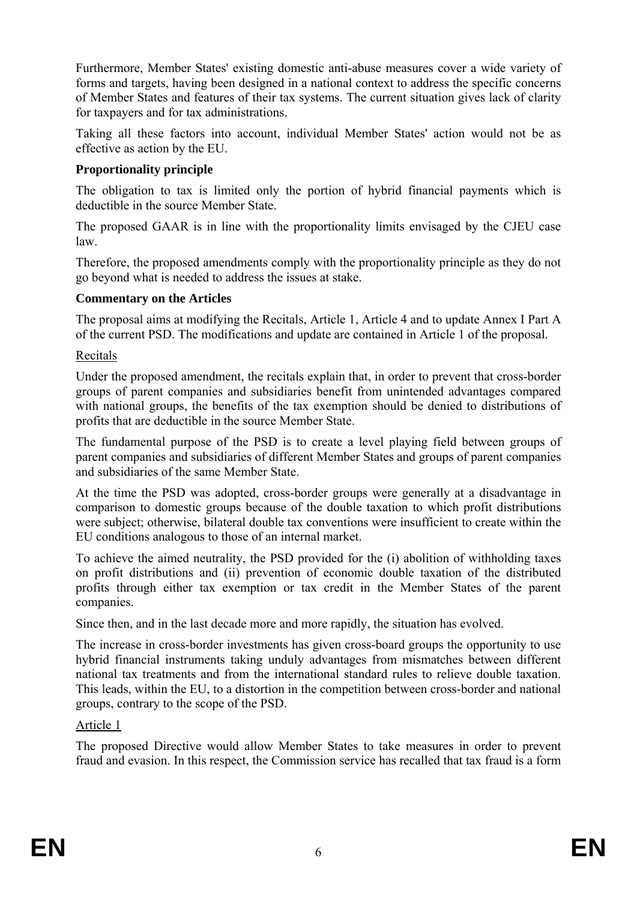Furthermore, Member States' existing domestic anti-abuse measures cover a wide variety of forms and targets, having been designed in a national context to address the specific concerns of Member States and features of their tax systems. The current situation gives lack of clarity for taxpayers and for tax administrations.

Taking all these factors into account, individual Member States' action would not be as effective as action by the EU.

# **Proportionality principle**

The obligation to tax is limited only the portion of hybrid financial payments which is deductible in the source Member State.

The proposed GAAR is in line with the proportionality limits envisaged by the CJEU case law.

Therefore, the proposed amendments comply with the proportionality principle as they do not go beyond what is needed to address the issues at stake.

# **Commentary on the Articles**

The proposal aims at modifying the Recitals, Article 1, Article 4 and to update Annex I Part A of the current PSD. The modifications and update are contained in Article 1 of the proposal.

# Recitals

Under the proposed amendment, the recitals explain that, in order to prevent that cross-border groups of parent companies and subsidiaries benefit from unintended advantages compared with national groups, the benefits of the tax exemption should be denied to distributions of profits that are deductible in the source Member State.

The fundamental purpose of the PSD is to create a level playing field between groups of parent companies and subsidiaries of different Member States and groups of parent companies and subsidiaries of the same Member State.

At the time the PSD was adopted, cross-border groups were generally at a disadvantage in comparison to domestic groups because of the double taxation to which profit distributions were subject; otherwise, bilateral double tax conventions were insufficient to create within the EU conditions analogous to those of an internal market.

To achieve the aimed neutrality, the PSD provided for the (i) abolition of withholding taxes on profit distributions and (ii) prevention of economic double taxation of the distributed profits through either tax exemption or tax credit in the Member States of the parent companies.

Since then, and in the last decade more and more rapidly, the situation has evolved.

The increase in cross-border investments has given cross-board groups the opportunity to use hybrid financial instruments taking unduly advantages from mismatches between different national tax treatments and from the international standard rules to relieve double taxation. This leads, within the EU, to a distortion in the competition between cross-border and national groups, contrary to the scope of the PSD.

# Article 1

The proposed Directive would allow Member States to take measures in order to prevent fraud and evasion. In this respect, the Commission service has recalled that tax fraud is a form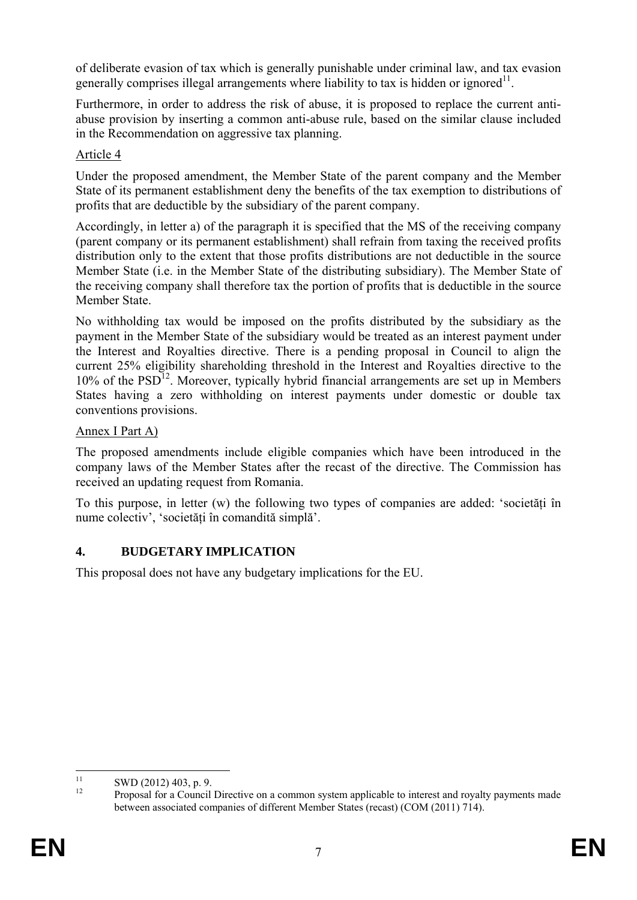of deliberate evasion of tax which is generally punishable under criminal law, and tax evasion generally comprises illegal arrangements where liability to tax is hidden or ignored<sup>11</sup>.

Furthermore, in order to address the risk of abuse, it is proposed to replace the current antiabuse provision by inserting a common anti-abuse rule, based on the similar clause included in the Recommendation on aggressive tax planning.

# Article 4

Under the proposed amendment, the Member State of the parent company and the Member State of its permanent establishment deny the benefits of the tax exemption to distributions of profits that are deductible by the subsidiary of the parent company.

Accordingly, in letter a) of the paragraph it is specified that the MS of the receiving company (parent company or its permanent establishment) shall refrain from taxing the received profits distribution only to the extent that those profits distributions are not deductible in the source Member State (i.e. in the Member State of the distributing subsidiary). The Member State of the receiving company shall therefore tax the portion of profits that is deductible in the source Member State.

No withholding tax would be imposed on the profits distributed by the subsidiary as the payment in the Member State of the subsidiary would be treated as an interest payment under the Interest and Royalties directive. There is a pending proposal in Council to align the current 25% eligibility shareholding threshold in the Interest and Royalties directive to the  $10\%$  of the PSD<sup>12</sup>. Moreover, typically hybrid financial arrangements are set up in Members States having a zero withholding on interest payments under domestic or double tax conventions provisions.

# Annex I Part A)

The proposed amendments include eligible companies which have been introduced in the company laws of the Member States after the recast of the directive. The Commission has received an updating request from Romania.

To this purpose, in letter (w) the following two types of companies are added: 'societăți în nume colectiv', 'societăți în comandită simplă'.

# **4. BUDGETARY IMPLICATION**

This proposal does not have any budgetary implications for the EU.

 $11$  $11 \qquad \qquad \text{SWD (2012) 403, p. 9.}$ 

<sup>12</sup> Proposal for a Council Directive on a common system applicable to interest and royalty payments made between associated companies of different Member States (recast) (COM (2011) 714).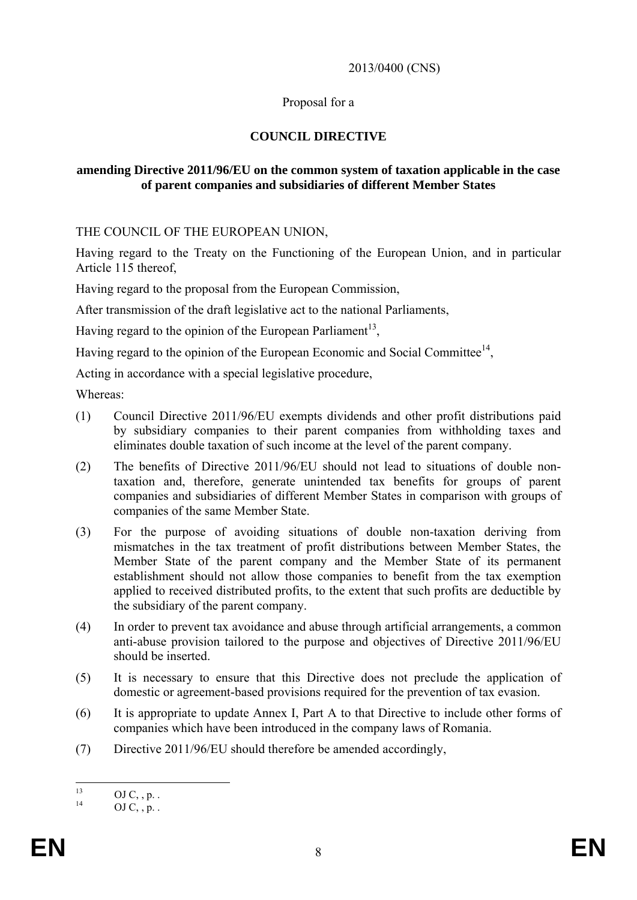#### 2013/0400 (CNS)

### Proposal for a

# **COUNCIL DIRECTIVE**

#### **amending Directive 2011/96/EU on the common system of taxation applicable in the case of parent companies and subsidiaries of different Member States**

THE COUNCIL OF THE EUROPEAN UNION,

Having regard to the Treaty on the Functioning of the European Union, and in particular Article 115 thereof,

Having regard to the proposal from the European Commission,

After transmission of the draft legislative act to the national Parliaments,

Having regard to the opinion of the European Parliament<sup>13</sup>,

Having regard to the opinion of the European Economic and Social Committee<sup>14</sup>,

Acting in accordance with a special legislative procedure,

Whereas:

- (1) Council Directive 2011/96/EU exempts dividends and other profit distributions paid by subsidiary companies to their parent companies from withholding taxes and eliminates double taxation of such income at the level of the parent company.
- (2) The benefits of Directive 2011/96/EU should not lead to situations of double nontaxation and, therefore, generate unintended tax benefits for groups of parent companies and subsidiaries of different Member States in comparison with groups of companies of the same Member State.
- (3) For the purpose of avoiding situations of double non-taxation deriving from mismatches in the tax treatment of profit distributions between Member States, the Member State of the parent company and the Member State of its permanent establishment should not allow those companies to benefit from the tax exemption applied to received distributed profits, to the extent that such profits are deductible by the subsidiary of the parent company.
- (4) In order to prevent tax avoidance and abuse through artificial arrangements, a common anti-abuse provision tailored to the purpose and objectives of Directive 2011/96/EU should be inserted.
- (5) It is necessary to ensure that this Directive does not preclude the application of domestic or agreement-based provisions required for the prevention of tax evasion.
- (6) It is appropriate to update Annex I, Part A to that Directive to include other forms of companies which have been introduced in the company laws of Romania.
- (7) Directive 2011/96/EU should therefore be amended accordingly,

 $\overline{12}$  $^{13}_{14}$  OJ C, , p. .

OJ  $C, p$ .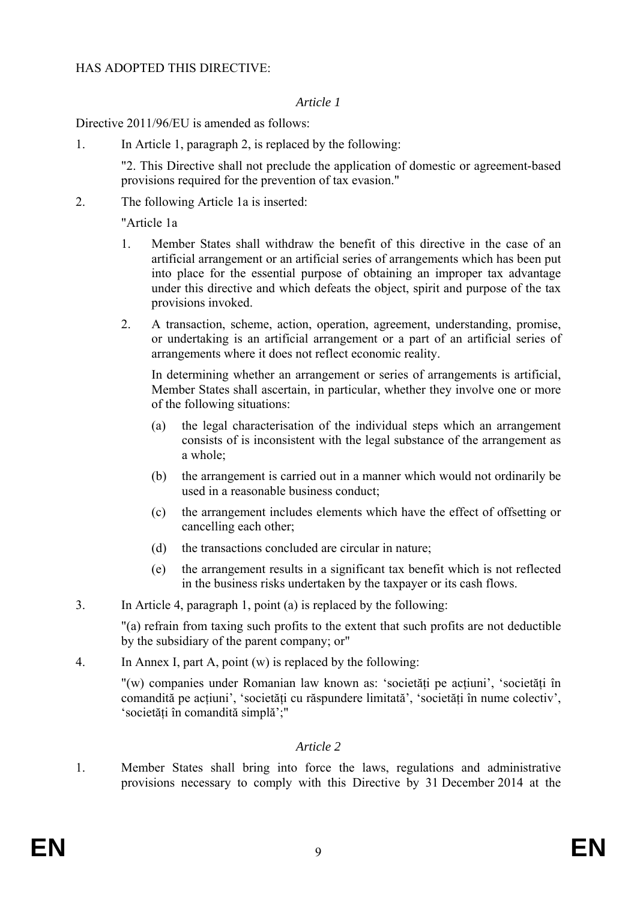### HAS ADOPTED THIS DIRECTIVE:

### *Article 1*

Directive 2011/96/EU is amended as follows:

1. In Article 1, paragraph 2, is replaced by the following:

"2. This Directive shall not preclude the application of domestic or agreement-based provisions required for the prevention of tax evasion."

2. The following Article 1a is inserted:

"Article 1a

- 1. Member States shall withdraw the benefit of this directive in the case of an artificial arrangement or an artificial series of arrangements which has been put into place for the essential purpose of obtaining an improper tax advantage under this directive and which defeats the object, spirit and purpose of the tax provisions invoked.
- 2. A transaction, scheme, action, operation, agreement, understanding, promise, or undertaking is an artificial arrangement or a part of an artificial series of arrangements where it does not reflect economic reality.

In determining whether an arrangement or series of arrangements is artificial, Member States shall ascertain, in particular, whether they involve one or more of the following situations:

- (a) the legal characterisation of the individual steps which an arrangement consists of is inconsistent with the legal substance of the arrangement as a whole;
- (b) the arrangement is carried out in a manner which would not ordinarily be used in a reasonable business conduct;
- (c) the arrangement includes elements which have the effect of offsetting or cancelling each other;
- (d) the transactions concluded are circular in nature;
- (e) the arrangement results in a significant tax benefit which is not reflected in the business risks undertaken by the taxpayer or its cash flows.
- 3. In Article 4, paragraph 1, point (a) is replaced by the following:

"(a) refrain from taxing such profits to the extent that such profits are not deductible by the subsidiary of the parent company; or"

4. In Annex I, part A, point (w) is replaced by the following:

"(w) companies under Romanian law known as: 'societăți pe acțiuni', 'societăți în comandită pe acțiuni', 'societăți cu răspundere limitată', 'societăți în nume colectiv', 'societăți în comandită simplă';"

# *Article 2*

1. Member States shall bring into force the laws, regulations and administrative provisions necessary to comply with this Directive by 31 December 2014 at the